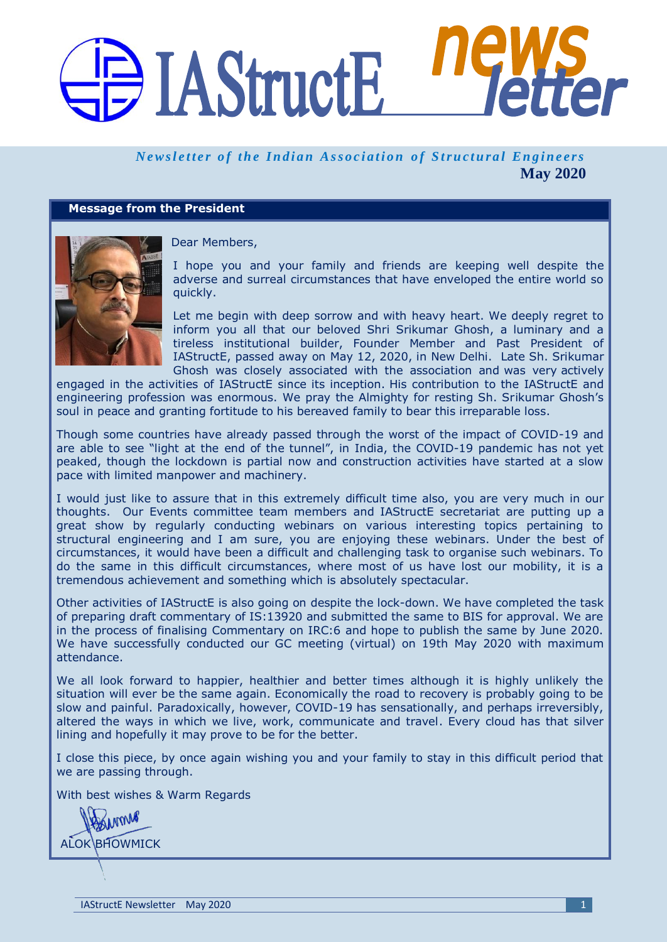# DI AStructE

### *Newsletter of the Indian Association of Structural Engineers* **May 2020**

#### **Message from the President**



Dear Members,

I hope you and your family and friends are keeping well despite the adverse and surreal circumstances that have enveloped the entire world so quickly.

Let me begin with deep sorrow and with heavy heart. We deeply regret to inform you all that our beloved Shri Srikumar Ghosh, a luminary and a tireless institutional builder, Founder Member and Past President of IAStructE, passed away on May 12, 2020, in New Delhi. Late Sh. Srikumar Ghosh was closely associated with the association and was very actively

engaged in the activities of IAStructE since its inception. His contribution to the IAStructE and engineering profession was enormous. We pray the Almighty for resting Sh. Srikumar Ghosh's soul in peace and granting fortitude to his bereaved family to bear this irreparable loss.

Though some countries have already passed through the worst of the impact of COVID-19 and are able to see "light at the end of the tunnel", in India, the COVID-19 pandemic has not yet peaked, though the lockdown is partial now and construction activities have started at a slow pace with limited manpower and machinery.

I would just like to assure that in this extremely difficult time also, you are very much in our thoughts. Our Events committee team members and IAStructE secretariat are putting up a great show by regularly conducting webinars on various interesting topics pertaining to structural engineering and I am sure, you are enjoying these webinars. Under the best of circumstances, it would have been a difficult and challenging task to organise such webinars. To do the same in this difficult circumstances, where most of us have lost our mobility, it is a tremendous achievement and something which is absolutely spectacular.

Other activities of IAStructE is also going on despite the lock-down. We have completed the task of preparing draft commentary of IS:13920 and submitted the same to BIS for approval. We are in the process of finalising Commentary on IRC:6 and hope to publish the same by June 2020. We have successfully conducted our GC meeting (virtual) on 19th May 2020 with maximum attendance.

We all look forward to happier, healthier and better times although it is highly unlikely the situation will ever be the same again. Economically the road to recovery is probably going to be slow and painful. Paradoxically, however, COVID-19 has sensationally, and perhaps irreversibly, altered the ways in which we live, work, communicate and travel. Every cloud has that silver lining and hopefully it may prove to be for the better.

I close this piece, by once again wishing you and your family to stay in this difficult period that we are passing through.

With best wishes & Warm Regards

DANMAR ALOK BHOWMICK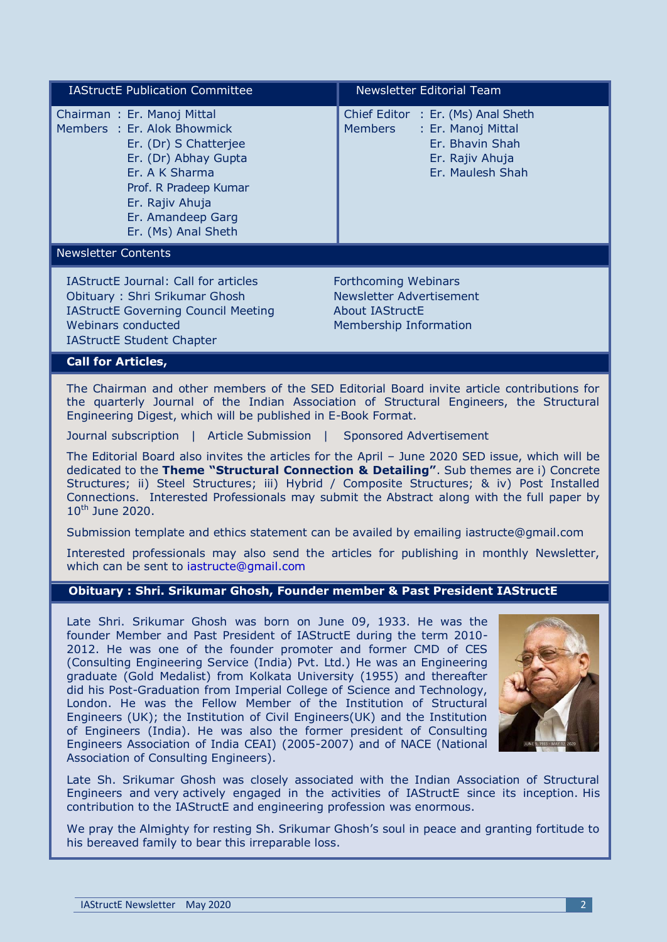| <b>IAStructE Publication Committee</b>                                                                                                                                                                                                                                                                                                                                                                         | <b>Newsletter Editorial Team</b>                                                                                                     |
|----------------------------------------------------------------------------------------------------------------------------------------------------------------------------------------------------------------------------------------------------------------------------------------------------------------------------------------------------------------------------------------------------------------|--------------------------------------------------------------------------------------------------------------------------------------|
| Chairman: Er. Manoj Mittal<br>Members : Er. Alok Bhowmick<br>Er. (Dr) S Chatterjee<br>Er. (Dr) Abhay Gupta<br>Er. A K Sharma<br>Prof. R Pradeep Kumar<br>Er. Rajiv Ahuja<br>Er. Amandeep Garg<br>Er. (Ms) Anal Sheth                                                                                                                                                                                           | Chief Editor : Er. (Ms) Anal Sheth<br><b>Members</b><br>: Er. Manoj Mittal<br>Er. Bhavin Shah<br>Er. Rajiv Ahuja<br>Er. Maulesh Shah |
| <b>Newsletter Contents</b>                                                                                                                                                                                                                                                                                                                                                                                     |                                                                                                                                      |
| <b>IAStructE Journal: Call for articles</b><br>Obituary: Shri Srikumar Ghosh<br><b>IAStructE Governing Council Meeting</b><br>Webinars conducted<br><b>IAStructE Student Chapter</b>                                                                                                                                                                                                                           | <b>Forthcoming Webinars</b><br>Newsletter Advertisement<br><b>About IAStructE</b><br>Membership Information                          |
| <b>Call for Articles,</b>                                                                                                                                                                                                                                                                                                                                                                                      |                                                                                                                                      |
| The Chairman and other members of the SED Editorial Board invite article contributions for<br>the quarterly Journal of the Indian Association of Structural Engineers, the Structural<br>Engineering Digest, which will be published in E-Book Format.                                                                                                                                                         |                                                                                                                                      |
| Journal subscription   Article Submission  <br><b>Sponsored Advertisement</b>                                                                                                                                                                                                                                                                                                                                  |                                                                                                                                      |
| The Editorial Board also invites the articles for the April - June 2020 SED issue, which will be<br>dedicated to the Theme "Structural Connection & Detailing". Sub themes are i) Concrete<br>Structures; ii) Steel Structures; iii) Hybrid / Composite Structures; & iv) Post Installed<br>Connections. Interested Professionals may submit the Abstract along with the full paper by<br>$10^{th}$ June 2020. |                                                                                                                                      |

Submission template and ethics statement can be availed by emailing [iastructe@gmail.com](mailto:iastructe@gmail.com)

Interested professionals may also send the articles for publishing in monthly Newsletter, which can be sent to [iastructe@gmail.com](mailto:iastructe@gmail.com)

#### **Obituary : Shri. Srikumar Ghosh, Founder member & Past President IAStructE**

Late Shri. Srikumar Ghosh was born on June 09, 1933. He was the founder Member and Past President of IAStructE during the term 2010- 2012. He was one of the founder promoter and former CMD of CES (Consulting Engineering Service (India) Pvt. Ltd.) He was an Engineering graduate (Gold Medalist) from Kolkata University (1955) and thereafter did his Post-Graduation from Imperial College of Science and Technology, London. He was the Fellow Member of the Institution of Structural Engineers (UK); the Institution of Civil Engineers(UK) and the Institution of Engineers (India). He was also the former president of Consulting Engineers Association of India CEAI) (2005-2007) and of NACE (National Association of Consulting Engineers).



Late Sh. Srikumar Ghosh was closely associated with the Indian Association of Structural Engineers and very actively engaged in the activities of IAStructE since its inception. His contribution to the IAStructE and engineering profession was enormous.

We pray the Almighty for resting Sh. Srikumar Ghosh's soul in peace and granting fortitude to his bereaved family to bear this irreparable loss.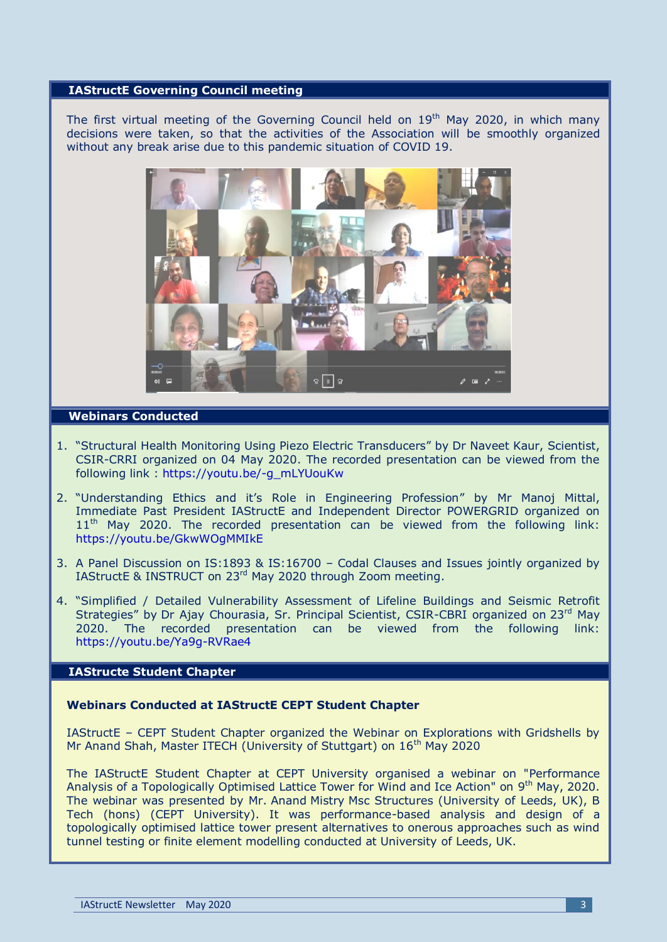#### **IAStructE Governing Council meeting**

The first virtual meeting of the Governing Council held on  $19<sup>th</sup>$  May 2020, in which many decisions were taken, so that the activities of the Association will be smoothly organized without any break arise due to this pandemic situation of COVID 19.



#### **Webinars Conducted**

- 1. "Structural Health Monitoring Using Piezo Electric Transducers" by Dr Naveet Kaur, Scientist, CSIR-CRRI organized on 04 May 2020. The recorded presentation can be viewed from the following link : [https://youtu.be/-g\\_mLYUouKw](https://youtu.be/-g_mLYUouKw)
- 2. "Understanding Ethics and it's Role in Engineering Profession" by Mr Manoj Mittal, Immediate Past President IAStructE and Independent Director POWERGRID organized on  $11<sup>th</sup>$  May 2020. The recorded presentation can be viewed from the following link: <https://youtu.be/GkwWOgMMIkE>
- 3. A Panel Discussion on IS:1893 & IS:16700 Codal Clauses and Issues jointly organized by IAStructE & INSTRUCT on 23rd May 2020 through Zoom meeting.
- 4. "Simplified / Detailed Vulnerability Assessment of Lifeline Buildings and Seismic Retrofit Strategies" by Dr Ajay Chourasia, Sr. Principal Scientist, CSIR-CBRI organized on 23<sup>rd</sup> May 2020. The recorded presentation can be viewed from the following link: <https://youtu.be/Ya9g-RVRae4>

#### **IAStructe Student Chapter**

#### **Webinars Conducted at IAStructE CEPT Student Chapter**

IAStructE – CEPT Student Chapter organized the Webinar on Explorations with Gridshells by Mr Anand Shah, Master ITECH (University of Stuttgart) on 16<sup>th</sup> May 2020

The IAStructE Student Chapter at CEPT University organised a webinar on "Performance Analysis of a Topologically Optimised Lattice Tower for Wind and Ice Action" on 9<sup>th</sup> May, 2020. The webinar was presented by Mr. Anand Mistry Msc Structures (University of Leeds, UK), B Tech (hons) (CEPT University). It was performance-based analysis and design of a topologically optimised lattice tower present alternatives to onerous approaches such as wind tunnel testing or finite element modelling conducted at University of Leeds, UK.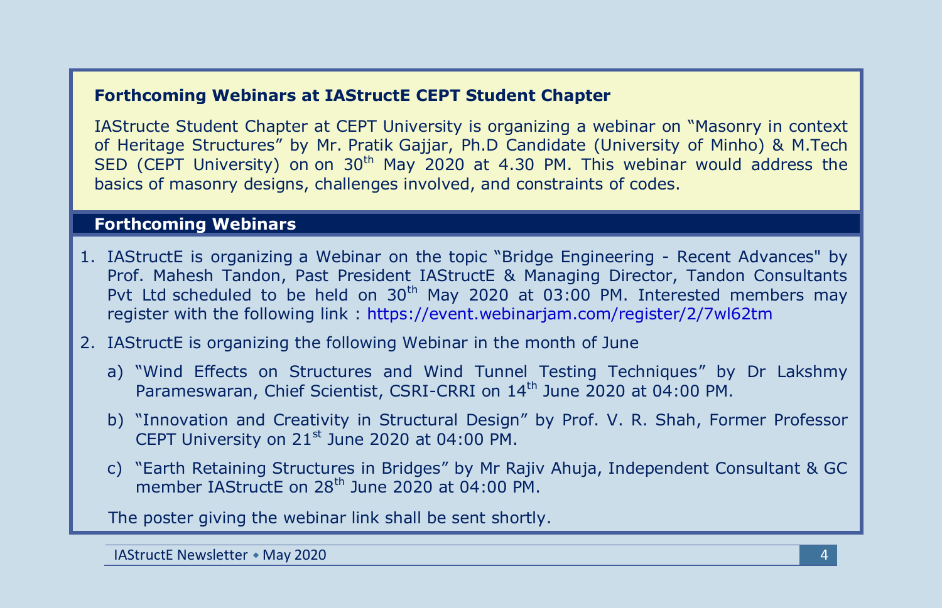#### **Forthcoming Webinars at IAStructE CEPT Student Chapter**

IAStructe Student Chapter at CEPT University is organizing a webinar on "Masonry in context of Heritage Structures" by Mr. Pratik Gajjar, Ph.D Candidate (University of Minho) & M.Tech SED (CEPT University) on on  $30<sup>th</sup>$  May 2020 at 4.30 PM. This webinar would address the basics of masonry designs, challenges involved, and constraints of codes.

#### **Forthcoming Webinars**

- 1. IAStructE is organizing a Webinar on the topic "Bridge Engineering Recent Advances" by Prof. Mahesh Tandon, Past President IAStructE & Managing Director, Tandon Consultants Pvt Ltd scheduled to be held on  $30<sup>th</sup>$  May 2020 at 03:00 PM. Interested members may register with the following link :<https://event.webinarjam.com/register/2/7wl62tm>
- 2. IAStructE is organizing the following Webinar in the month of June
	- a) "Wind Effects on Structures and Wind Tunnel Testing Techniques" by Dr Lakshmy Parameswaran, Chief Scientist, CSRI-CRRI on 14<sup>th</sup> June 2020 at 04:00 PM.
	- b) "Innovation and Creativity in Structural Design" by Prof. V. R. Shah, Former Professor CEPT University on  $21<sup>st</sup>$  June 2020 at 04:00 PM.
	- c) "Earth Retaining Structures in Bridges" by Mr Rajiv Ahuja, Independent Consultant & GC member IAStructE on 28<sup>th</sup> June 2020 at 04:00 PM.

The poster giving the webinar link shall be sent shortly.

**IAStructE Newsletter • May 2020** 4. The contract of the contract of the contract of the contract of the contract of the contract of the contract of the contract of the contract of the contract of the contract of the contr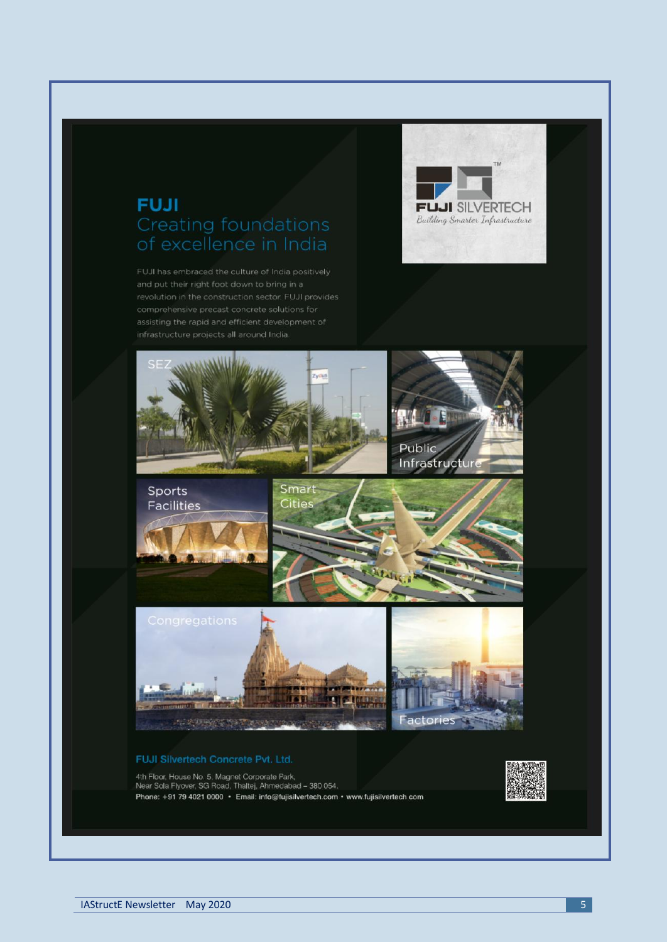## **FUJI** Creating foundations

FUJI has embraced the culture of India positively





4th Floor, House No. 5, Magnet Corporate Park,<br>Near Sola Flyover, SG Road, Thaltej, Ahmedabad - 380 054,<br>Phone: +91 79 4021 0000 · Email: info@fujisilvertech.com · www.fujisilvertech.com